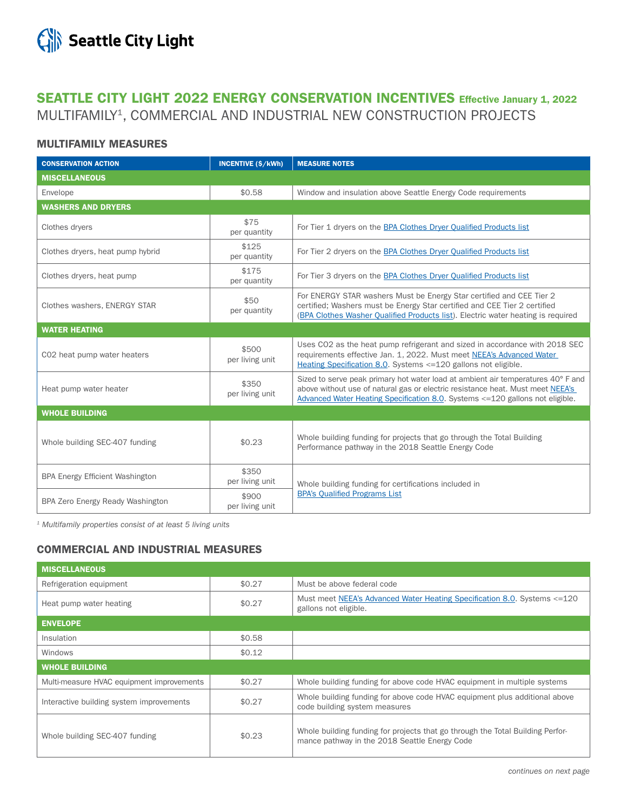

# SEATTLE CITY LIGHT 2022 ENERGY CONSERVATION INCENTIVES Effective January 1, 2022 MULTIFAMILY1, COMMERCIAL AND INDUSTRIAL NEW CONSTRUCTION PROJECTS

### MULTIFAMILY MEASURES

| <b>CONSERVATION ACTION</b>             | <b>INCENTIVE (\$/kWh)</b> | <b>MEASURE NOTES</b>                                                                                                                                                                                                                                 |  |
|----------------------------------------|---------------------------|------------------------------------------------------------------------------------------------------------------------------------------------------------------------------------------------------------------------------------------------------|--|
| <b>MISCELLANEOUS</b>                   |                           |                                                                                                                                                                                                                                                      |  |
| Envelope                               | \$0.58                    | Window and insulation above Seattle Energy Code requirements                                                                                                                                                                                         |  |
| <b>WASHERS AND DRYERS</b>              |                           |                                                                                                                                                                                                                                                      |  |
| Clothes dryers                         | \$75<br>per quantity      | For Tier 1 dryers on the BPA Clothes Dryer Qualified Products list                                                                                                                                                                                   |  |
| Clothes dryers, heat pump hybrid       | \$125<br>per quantity     | For Tier 2 dryers on the BPA Clothes Dryer Qualified Products list                                                                                                                                                                                   |  |
| Clothes dryers, heat pump              | \$175<br>per quantity     | For Tier 3 dryers on the BPA Clothes Dryer Qualified Products list                                                                                                                                                                                   |  |
| Clothes washers, ENERGY STAR           | \$50<br>per quantity      | For ENERGY STAR washers Must be Energy Star certified and CEE Tier 2<br>certified; Washers must be Energy Star certified and CEE Tier 2 certified<br>(BPA Clothes Washer Qualified Products list). Electric water heating is required                |  |
| <b>WATER HEATING</b>                   |                           |                                                                                                                                                                                                                                                      |  |
| CO2 heat pump water heaters            | \$500<br>per living unit  | Uses CO2 as the heat pump refrigerant and sized in accordance with 2018 SEC<br>requirements effective Jan. 1, 2022. Must meet NEEA's Advanced Water<br>Heating Specification 8.0. Systems <= 120 gallons not eligible.                               |  |
| Heat pump water heater                 | \$350<br>per living unit  | Sized to serve peak primary hot water load at ambient air temperatures 40° F and<br>above without use of natural gas or electric resistance heat. Must meet NEEA's<br>Advanced Water Heating Specification 8.0. Systems <= 120 gallons not eligible. |  |
| <b>WHOLE BUILDING</b>                  |                           |                                                                                                                                                                                                                                                      |  |
| Whole building SEC-407 funding         | \$0.23                    | Whole building funding for projects that go through the Total Building<br>Performance pathway in the 2018 Seattle Energy Code                                                                                                                        |  |
| <b>BPA Energy Efficient Washington</b> | \$350<br>per living unit  | Whole building funding for certifications included in<br><b>BPA's Qualified Programs List</b>                                                                                                                                                        |  |
| BPA Zero Energy Ready Washington       | \$900<br>per living unit  |                                                                                                                                                                                                                                                      |  |

*1 Multifamily properties consist of at least 5 living units*

## COMMERCIAL AND INDUSTRIAL MEASURES

| <b>MISCELLANEOUS</b>                      |        |                                                                                                                                 |  |
|-------------------------------------------|--------|---------------------------------------------------------------------------------------------------------------------------------|--|
| Refrigeration equipment                   | \$0.27 | Must be above federal code                                                                                                      |  |
| Heat pump water heating                   | \$0.27 | Must meet NEEA's Advanced Water Heating Specification 8.0. Systems <= 120<br>gallons not eligible.                              |  |
| <b>ENVELOPE</b>                           |        |                                                                                                                                 |  |
| Insulation                                | \$0.58 |                                                                                                                                 |  |
| <b>Windows</b>                            | \$0.12 |                                                                                                                                 |  |
| <b>WHOLE BUILDING</b>                     |        |                                                                                                                                 |  |
| Multi-measure HVAC equipment improvements | \$0.27 | Whole building funding for above code HVAC equipment in multiple systems                                                        |  |
| Interactive building system improvements  | \$0.27 | Whole building funding for above code HVAC equipment plus additional above<br>code building system measures                     |  |
| Whole building SEC-407 funding            | \$0.23 | Whole building funding for projects that go through the Total Building Perfor-<br>mance pathway in the 2018 Seattle Energy Code |  |